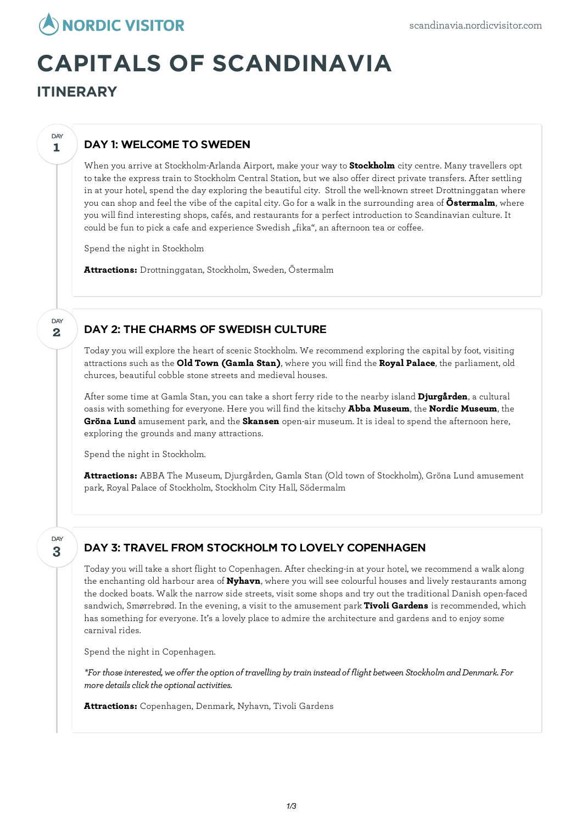

# **CAPITALS OF SCANDINAVIA**

**ITINERARY**

**1**

**DAY** 

**2**

DAY

### DAY 1: WELCOME TO SWEDEN

When you arrive at Stockholm-Arlanda Airport, make your way to **Stockholm** city centre. Many travellers opt to take the express train to Stockholm Central Station, but we also offer direct private transfers. After settling in at your hotel, spend the day exploring the beautiful city. Stroll the well-known street Drottninggatan where you can shop and feel the vibe of the capital city. Go for a walk in the surrounding area of **Östermalm**, where you will find interesting shops, cafés, and restaurants for a perfect introduction to Scandinavian culture. It could be fun to pick a cafe and experience Swedish "fika", an afternoon tea or coffee.

Spend the night in Stockholm

**Attractions:** Drottninggatan, Stockholm, Sweden, Östermalm

#### DAY 2: THE CHARMS OF SWEDISH CULTURE

Today you willexplore the heart of scenic Stockholm. We recommend exploring the capital by foot, visiting attractions such as the **Old Town (Gamla Stan)**, where you will find the **Royal Palace**, the parliament, old churces, beautiful cobble stone streets and medieval houses.

After some time at Gamla Stan, you can take a short ferry ride to the nearby island **Djurgården**, a cultural oasis with something for everyone. Here you will find the kitschy **Abba Museum**, the **Nordic Museum**, the **Gröna Lund** amusement park, and the **Skansen** open-air museum. It is ideal to spend the afternoon here, exploring the grounds and many attractions.

Spend the night in Stockholm.

**Attractions:** ABBA The Museum, Djurgården, Gamla Stan (Old town of Stockholm), Gröna Lund amusement park, Royal Palace of Stockholm, Stockholm City Hall, Södermalm

**3** DAY

## DAY 3: TRAVEL FROM STOCKHOLM TO LOVELY COPENHAGEN

Today you will take a short flight to Copenhagen. After checking-in at your hotel, we recommend a walk along the enchanting old harbour area of **Nyhavn**, where you will see colourful houses and lively restaurants among the docked boats. Walk the narrow side streets, visit some shops and try out the traditional Danish open-faced sandwich, Smørrebrød. In the evening, a visit to the amusement park **Tivoli Gardens** is recommended, which has something for everyone. It's a lovely place to admire the architecture and gardens and to enjoy some carnival rides.

Spend the night in Copenhagen.

*\*For thoseinterested, we offer the option of travelling bytrain insteadof flight between StockholmandDenmark. For*  $$ 

**Attractions:** Copenhagen, Denmark, Nyhavn, Tivoli Gardens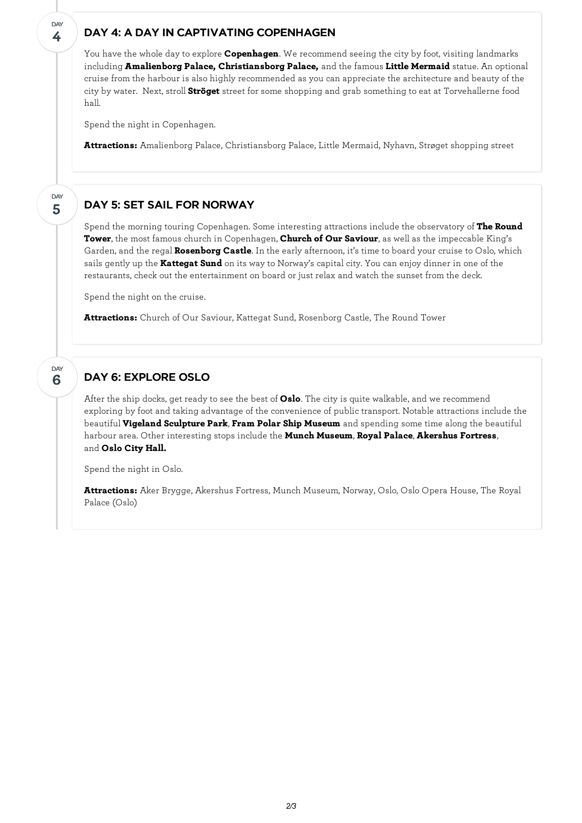#### DAY 4: A DAY IN CAPTIVATING COPENHAGEN

You have the whole day to explore **Copenhagen**. We recommend seeing the city by foot, visiting landmarks including **Amalienborg Palace, Christiansborg Palace,** and the famous **Little Mermaid** statue. An optional cruise from the harbour is also highly recommended as you can appreciate the architecture and beauty of the city by water. Next, stroll **Ströget** street for some shopping and grab something to eat at Torvehallerne food hall.

Spend the night in Copenhagen.

**4**

**DAY** 

**5**

**DAY** 

**6**

**DAY** 

**Attractions:** Amalienborg Palace, Christiansborg Palace, Little Mermaid, Nyhavn, Strøget shopping street

#### DAY 5: SET SAIL FOR NORWAY

Spend the morning touring Copenhagen. Some interesting attractions include the observatory of **The Round Tower**, the most famous church in Copenhagen, **Church of Our Saviour**, as well as the impeccable King's Garden, and the regal **Rosenborg Castle**. In the early afternoon, it's time to board your cruise to Oslo, which sails gently up the **Kattegat Sund** on its way to Norway's capital city. You can enjoy dinner in one of the restaurants, check out the entertainment on board or just relax and watch the sunset from the deck.

Spend the night on the cruise.

**Attractions:** Church of Our Saviour, Kattegat Sund, Rosenborg Castle, The Round Tower

#### DAY 6: EXPLORE OSLO

After the ship docks, get ready to see the best of **Oslo**. The city is quite walkable, and we recommend exploring by foot and taking advantage of the convenience of public transport. Notable attractions include the beautiful **Vigeland Sculpture Park**, **Fram Polar Ship Museum** and spending some time along the beautiful harbour area. Other interesting stops include the **Munch Museum**, **Royal Palace**, **Akershus Fortress**, and **Oslo City Hall.**

Spend the night in Oslo.

**Attractions:** Aker Brygge, Akershus Fortress, Munch Museum, Norway, Oslo, Oslo Opera House, The Royal Palace (Oslo)